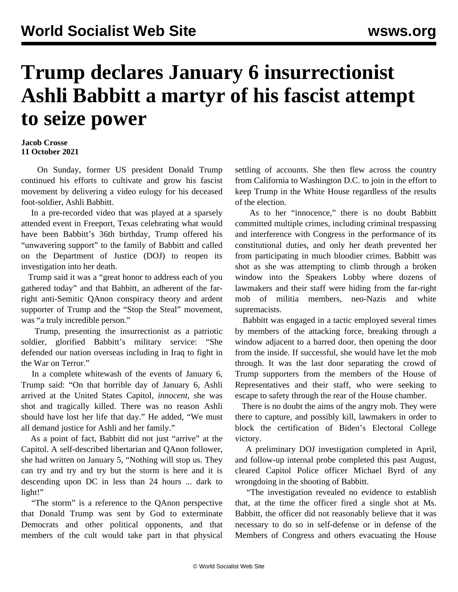## **Trump declares January 6 insurrectionist Ashli Babbitt a martyr of his fascist attempt to seize power**

## **Jacob Crosse 11 October 2021**

 On Sunday, former US president Donald Trump continued his efforts to cultivate and grow his fascist movement by delivering a video eulogy for his deceased foot-soldier, Ashli Babbitt.

 In a pre-recorded video that was played at a sparsely attended event in Freeport, Texas celebrating what would have been Babbitt's 36th birthday, Trump offered his "unwavering support" to the family of Babbitt and called on the Department of Justice (DOJ) to reopen its investigation into her death.

 Trump said it was a "great honor to address each of you gathered today" and that Babbitt, an adherent of the farright anti-Semitic QAnon conspiracy theory and ardent supporter of Trump and the "Stop the Steal" movement, was "a truly incredible person."

 Trump, presenting the insurrectionist as a patriotic soldier, glorified Babbitt's military service: "She defended our nation overseas including in Iraq to fight in the War on Terror."

 In a complete whitewash of the events of January 6, Trump said: "On that horrible day of January 6, Ashli arrived at the United States Capitol, *innocent*, she was shot and tragically killed. There was no reason Ashli should have lost her life that day." He added, "We must all demand justice for Ashli and her family."

 As a point of fact, Babbitt did not just "arrive" at the Capitol. A self-described libertarian and QAnon follower, she had written on January 5, "Nothing will stop us. They can try and try and try but the storm is here and it is descending upon DC in less than 24 hours ... dark to light!"

 "The storm" is a reference to the QAnon perspective that Donald Trump was sent by God to exterminate Democrats and other political opponents, and that members of the cult would take part in that physical

settling of accounts. She then flew across the country from California to Washington D.C. to join in the effort to keep Trump in the White House regardless of the results of the election.

 As to her "innocence," there is no doubt Babbitt committed multiple crimes, including criminal trespassing and interference with Congress in the performance of its constitutional duties, and only her death prevented her from participating in much bloodier crimes. Babbitt was shot as she was attempting to climb through a broken window into the Speakers Lobby where dozens of lawmakers and their staff were hiding from the far-right mob of militia members, neo-Nazis and white supremacists.

 Babbitt was engaged in a tactic employed several times by members of the attacking force, breaking through a window adjacent to a barred door, then opening the door from the inside. If successful, she would have let the mob through. It was the last door separating the crowd of Trump supporters from the members of the House of Representatives and their staff, who were seeking to escape to safety through the rear of the House chamber.

 There is no doubt the aims of the angry mob. They were there to capture, and possibly kill, lawmakers in order to block the certification of Biden's Electoral College victory.

 A preliminary DOJ investigation completed in April, and follow-up internal probe completed this past August, cleared Capitol Police officer Michael Byrd of any wrongdoing in the shooting of Babbitt.

 "The investigation revealed no evidence to establish that, at the time the officer fired a single shot at Ms. Babbitt, the officer did not reasonably believe that it was necessary to do so in self-defense or in defense of the Members of Congress and others evacuating the House